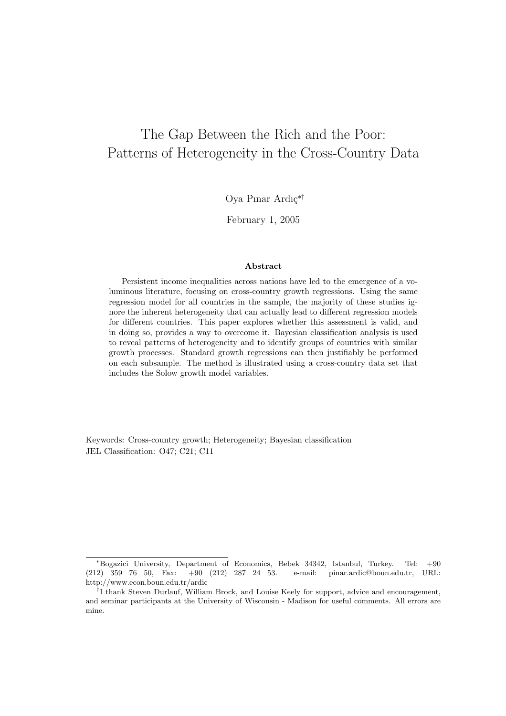# The Gap Between the Rich and the Poor: Patterns of Heterogeneity in the Cross-Country Data

Oya Pınar Ardıç<sup>∗†</sup>

February 1, 2005

#### Abstract

Persistent income inequalities across nations have led to the emergence of a voluminous literature, focusing on cross-country growth regressions. Using the same regression model for all countries in the sample, the majority of these studies ignore the inherent heterogeneity that can actually lead to different regression models for different countries. This paper explores whether this assessment is valid, and in doing so, provides a way to overcome it. Bayesian classification analysis is used to reveal patterns of heterogeneity and to identify groups of countries with similar growth processes. Standard growth regressions can then justifiably be performed on each subsample. The method is illustrated using a cross-country data set that includes the Solow growth model variables.

Keywords: Cross-country growth; Heterogeneity; Bayesian classification JEL Classification: O47; C21; C11

<sup>∗</sup>Bogazici University, Department of Economics, Bebek 34342, Istanbul, Turkey. Tel: +90 (212) 359 76 50, Fax: +90 (212) 287 24 53. e-mail: pinar.ardic@boun.edu.tr, URL: http://www.econ.boun.edu.tr/ardic

<sup>&</sup>lt;sup>†</sup>I thank Steven Durlauf, William Brock, and Louise Keely for support, advice and encouragement, and seminar participants at the University of Wisconsin - Madison for useful comments. All errors are mine.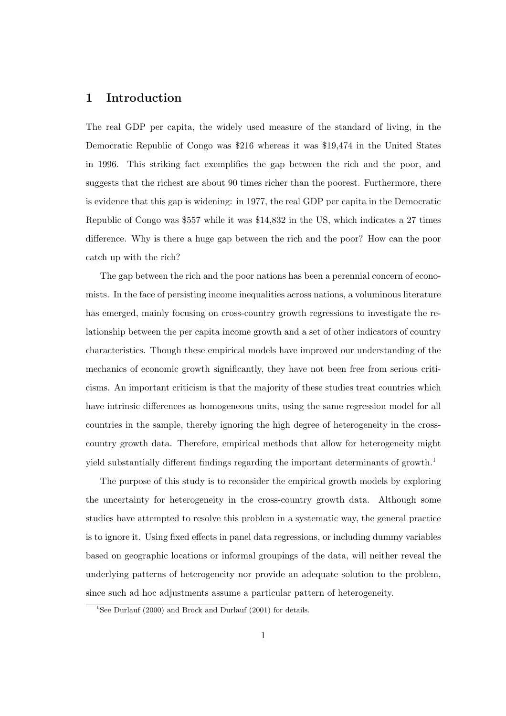### 1 Introduction

The real GDP per capita, the widely used measure of the standard of living, in the Democratic Republic of Congo was \$216 whereas it was \$19,474 in the United States in 1996. This striking fact exemplifies the gap between the rich and the poor, and suggests that the richest are about 90 times richer than the poorest. Furthermore, there is evidence that this gap is widening: in 1977, the real GDP per capita in the Democratic Republic of Congo was \$557 while it was \$14,832 in the US, which indicates a 27 times difference. Why is there a huge gap between the rich and the poor? How can the poor catch up with the rich?

The gap between the rich and the poor nations has been a perennial concern of economists. In the face of persisting income inequalities across nations, a voluminous literature has emerged, mainly focusing on cross-country growth regressions to investigate the relationship between the per capita income growth and a set of other indicators of country characteristics. Though these empirical models have improved our understanding of the mechanics of economic growth significantly, they have not been free from serious criticisms. An important criticism is that the majority of these studies treat countries which have intrinsic differences as homogeneous units, using the same regression model for all countries in the sample, thereby ignoring the high degree of heterogeneity in the crosscountry growth data. Therefore, empirical methods that allow for heterogeneity might yield substantially different findings regarding the important determinants of growth.<sup>1</sup>

The purpose of this study is to reconsider the empirical growth models by exploring the uncertainty for heterogeneity in the cross-country growth data. Although some studies have attempted to resolve this problem in a systematic way, the general practice is to ignore it. Using fixed effects in panel data regressions, or including dummy variables based on geographic locations or informal groupings of the data, will neither reveal the underlying patterns of heterogeneity nor provide an adequate solution to the problem, since such ad hoc adjustments assume a particular pattern of heterogeneity.

<sup>&</sup>lt;sup>1</sup>See Durlauf (2000) and Brock and Durlauf (2001) for details.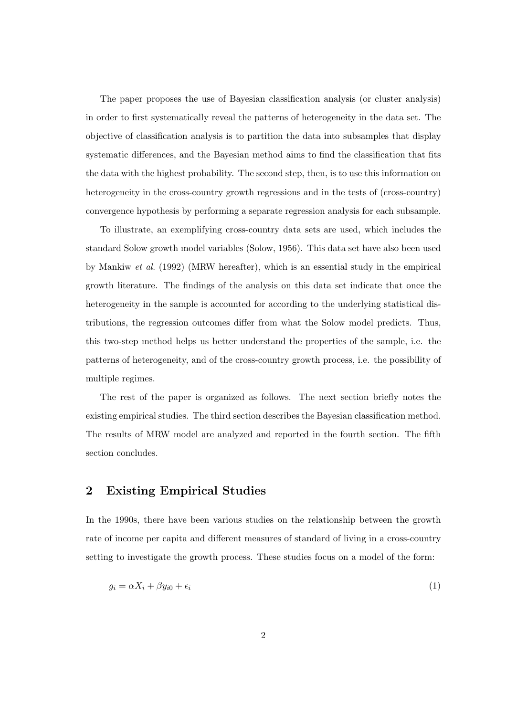The paper proposes the use of Bayesian classification analysis (or cluster analysis) in order to first systematically reveal the patterns of heterogeneity in the data set. The objective of classification analysis is to partition the data into subsamples that display systematic differences, and the Bayesian method aims to find the classification that fits the data with the highest probability. The second step, then, is to use this information on heterogeneity in the cross-country growth regressions and in the tests of (cross-country) convergence hypothesis by performing a separate regression analysis for each subsample.

To illustrate, an exemplifying cross-country data sets are used, which includes the standard Solow growth model variables (Solow, 1956). This data set have also been used by Mankiw et al. (1992) (MRW hereafter), which is an essential study in the empirical growth literature. The findings of the analysis on this data set indicate that once the heterogeneity in the sample is accounted for according to the underlying statistical distributions, the regression outcomes differ from what the Solow model predicts. Thus, this two-step method helps us better understand the properties of the sample, i.e. the patterns of heterogeneity, and of the cross-country growth process, i.e. the possibility of multiple regimes.

The rest of the paper is organized as follows. The next section briefly notes the existing empirical studies. The third section describes the Bayesian classification method. The results of MRW model are analyzed and reported in the fourth section. The fifth section concludes.

# 2 Existing Empirical Studies

In the 1990s, there have been various studies on the relationship between the growth rate of income per capita and different measures of standard of living in a cross-country setting to investigate the growth process. These studies focus on a model of the form:

$$
g_i = \alpha X_i + \beta y_{i0} + \epsilon_i \tag{1}
$$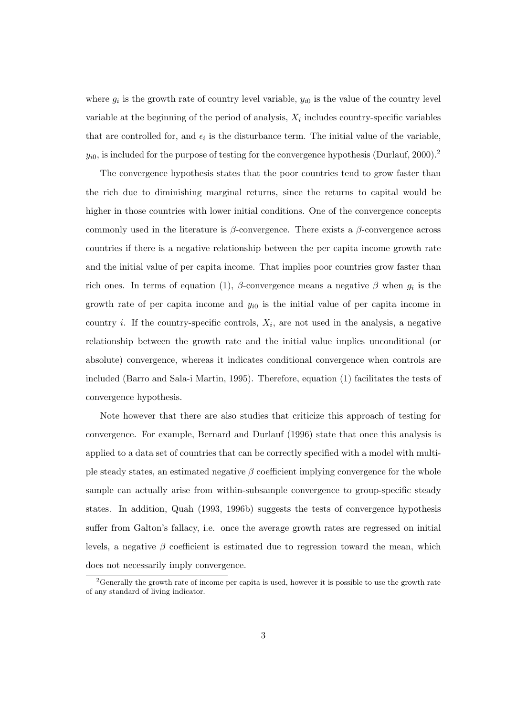where  $g_i$  is the growth rate of country level variable,  $y_{i0}$  is the value of the country level variable at the beginning of the period of analysis,  $X_i$  includes country-specific variables that are controlled for, and  $\epsilon_i$  is the disturbance term. The initial value of the variable,  $y_{i0}$ , is included for the purpose of testing for the convergence hypothesis (Durlauf, 2000).<sup>2</sup>

The convergence hypothesis states that the poor countries tend to grow faster than the rich due to diminishing marginal returns, since the returns to capital would be higher in those countries with lower initial conditions. One of the convergence concepts commonly used in the literature is  $\beta$ -convergence. There exists a  $\beta$ -convergence across countries if there is a negative relationship between the per capita income growth rate and the initial value of per capita income. That implies poor countries grow faster than rich ones. In terms of equation (1),  $\beta$ -convergence means a negative  $\beta$  when  $g_i$  is the growth rate of per capita income and  $y_{i0}$  is the initial value of per capita income in country *i*. If the country-specific controls,  $X_i$ , are not used in the analysis, a negative relationship between the growth rate and the initial value implies unconditional (or absolute) convergence, whereas it indicates conditional convergence when controls are included (Barro and Sala-i Martin, 1995). Therefore, equation (1) facilitates the tests of convergence hypothesis.

Note however that there are also studies that criticize this approach of testing for convergence. For example, Bernard and Durlauf (1996) state that once this analysis is applied to a data set of countries that can be correctly specified with a model with multiple steady states, an estimated negative  $\beta$  coefficient implying convergence for the whole sample can actually arise from within-subsample convergence to group-specific steady states. In addition, Quah (1993, 1996b) suggests the tests of convergence hypothesis suffer from Galton's fallacy, i.e. once the average growth rates are regressed on initial levels, a negative  $\beta$  coefficient is estimated due to regression toward the mean, which does not necessarily imply convergence.

<sup>&</sup>lt;sup>2</sup>Generally the growth rate of income per capita is used, however it is possible to use the growth rate of any standard of living indicator.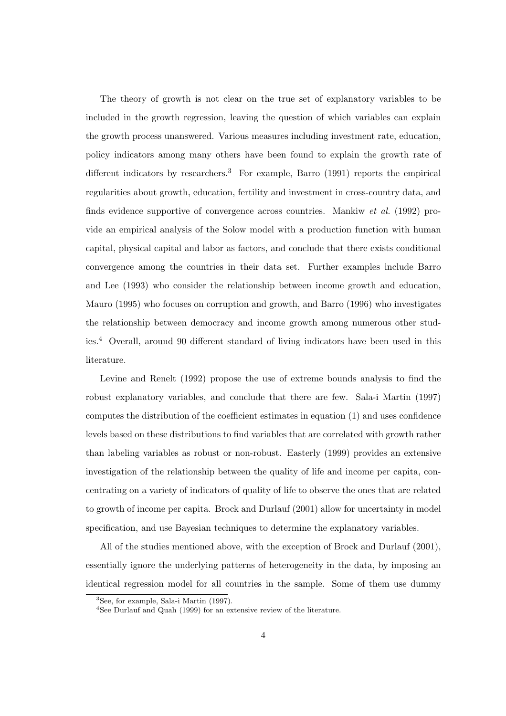The theory of growth is not clear on the true set of explanatory variables to be included in the growth regression, leaving the question of which variables can explain the growth process unanswered. Various measures including investment rate, education, policy indicators among many others have been found to explain the growth rate of different indicators by researchers.<sup>3</sup> For example, Barro  $(1991)$  reports the empirical regularities about growth, education, fertility and investment in cross-country data, and finds evidence supportive of convergence across countries. Mankiw et al. (1992) provide an empirical analysis of the Solow model with a production function with human capital, physical capital and labor as factors, and conclude that there exists conditional convergence among the countries in their data set. Further examples include Barro and Lee (1993) who consider the relationship between income growth and education, Mauro (1995) who focuses on corruption and growth, and Barro (1996) who investigates the relationship between democracy and income growth among numerous other studies.<sup>4</sup> Overall, around 90 different standard of living indicators have been used in this literature.

Levine and Renelt (1992) propose the use of extreme bounds analysis to find the robust explanatory variables, and conclude that there are few. Sala-i Martin (1997) computes the distribution of the coefficient estimates in equation (1) and uses confidence levels based on these distributions to find variables that are correlated with growth rather than labeling variables as robust or non-robust. Easterly (1999) provides an extensive investigation of the relationship between the quality of life and income per capita, concentrating on a variety of indicators of quality of life to observe the ones that are related to growth of income per capita. Brock and Durlauf (2001) allow for uncertainty in model specification, and use Bayesian techniques to determine the explanatory variables.

All of the studies mentioned above, with the exception of Brock and Durlauf (2001), essentially ignore the underlying patterns of heterogeneity in the data, by imposing an identical regression model for all countries in the sample. Some of them use dummy

<sup>3</sup>See, for example, Sala-i Martin (1997).

<sup>4</sup>See Durlauf and Quah (1999) for an extensive review of the literature.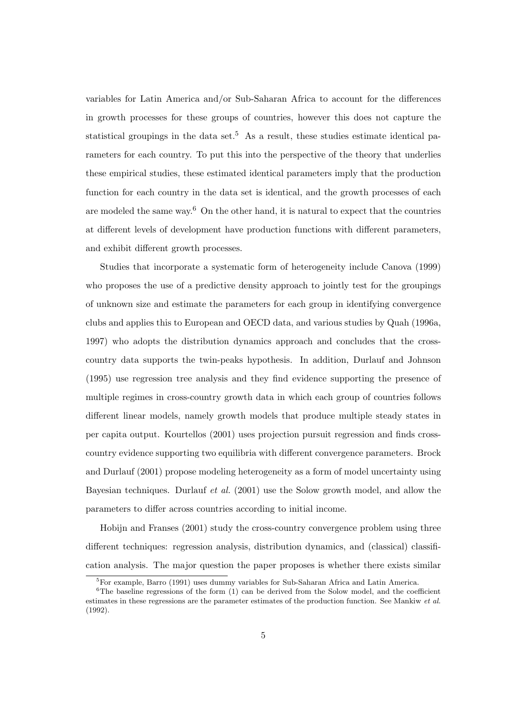variables for Latin America and/or Sub-Saharan Africa to account for the differences in growth processes for these groups of countries, however this does not capture the statistical groupings in the data set.<sup>5</sup> As a result, these studies estimate identical parameters for each country. To put this into the perspective of the theory that underlies these empirical studies, these estimated identical parameters imply that the production function for each country in the data set is identical, and the growth processes of each are modeled the same way.<sup>6</sup> On the other hand, it is natural to expect that the countries at different levels of development have production functions with different parameters, and exhibit different growth processes.

Studies that incorporate a systematic form of heterogeneity include Canova (1999) who proposes the use of a predictive density approach to jointly test for the groupings of unknown size and estimate the parameters for each group in identifying convergence clubs and applies this to European and OECD data, and various studies by Quah (1996a, 1997) who adopts the distribution dynamics approach and concludes that the crosscountry data supports the twin-peaks hypothesis. In addition, Durlauf and Johnson (1995) use regression tree analysis and they find evidence supporting the presence of multiple regimes in cross-country growth data in which each group of countries follows different linear models, namely growth models that produce multiple steady states in per capita output. Kourtellos (2001) uses projection pursuit regression and finds crosscountry evidence supporting two equilibria with different convergence parameters. Brock and Durlauf (2001) propose modeling heterogeneity as a form of model uncertainty using Bayesian techniques. Durlauf *et al.* (2001) use the Solow growth model, and allow the parameters to differ across countries according to initial income.

Hobijn and Franses (2001) study the cross-country convergence problem using three different techniques: regression analysis, distribution dynamics, and (classical) classification analysis. The major question the paper proposes is whether there exists similar

<sup>5</sup>For example, Barro (1991) uses dummy variables for Sub-Saharan Africa and Latin America.

 $6$ The baseline regressions of the form (1) can be derived from the Solow model, and the coefficient estimates in these regressions are the parameter estimates of the production function. See Mankiw et al. (1992).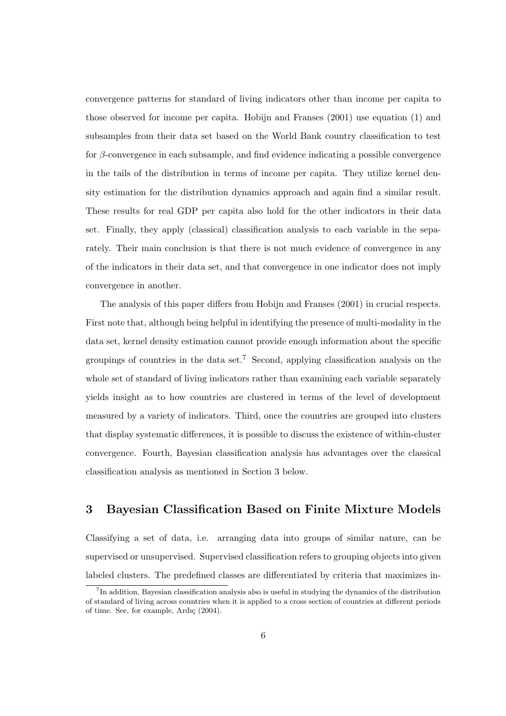convergence patterns for standard of living indicators other than income per capita to those observed for income per capita. Hobijn and Franses (2001) use equation (1) and subsamples from their data set based on the World Bank country classification to test for β-convergence in each subsample, and find evidence indicating a possible convergence in the tails of the distribution in terms of income per capita. They utilize kernel density estimation for the distribution dynamics approach and again find a similar result. These results for real GDP per capita also hold for the other indicators in their data set. Finally, they apply (classical) classification analysis to each variable in the separately. Their main conclusion is that there is not much evidence of convergence in any of the indicators in their data set, and that convergence in one indicator does not imply convergence in another.

The analysis of this paper differs from Hobijn and Franses (2001) in crucial respects. First note that, although being helpful in identifying the presence of multi-modality in the data set, kernel density estimation cannot provide enough information about the specific groupings of countries in the data set.<sup>7</sup> Second, applying classification analysis on the whole set of standard of living indicators rather than examining each variable separately yields insight as to how countries are clustered in terms of the level of development measured by a variety of indicators. Third, once the countries are grouped into clusters that display systematic differences, it is possible to discuss the existence of within-cluster convergence. Fourth, Bayesian classification analysis has advantages over the classical classification analysis as mentioned in Section 3 below.

# 3 Bayesian Classification Based on Finite Mixture Models

Classifying a set of data, i.e. arranging data into groups of similar nature, can be supervised or unsupervised. Supervised classification refers to grouping objects into given labeled clusters. The predefined classes are differentiated by criteria that maximizes in-

<sup>&</sup>lt;sup>7</sup>In addition, Bayesian classification analysis also is useful in studying the dynamics of the distribution of standard of living across countries when it is applied to a cross section of countries at different periods of time. See, for example, Ardı $\varsigma$  (2004).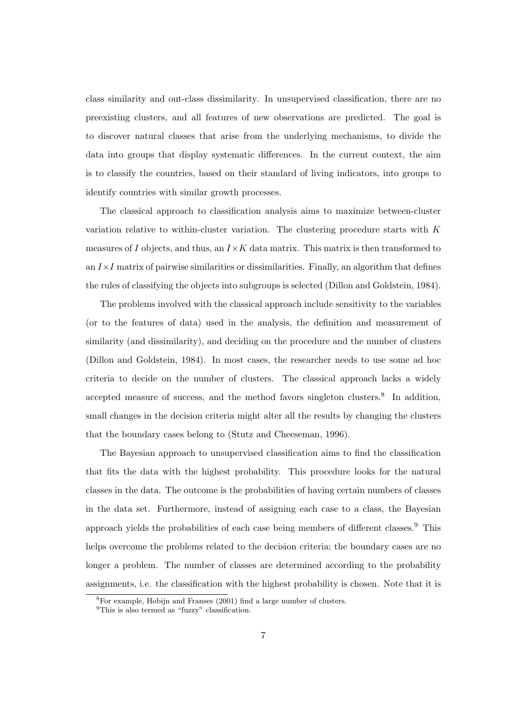class similarity and out-class dissimilarity. In unsupervised classification, there are no preexisting clusters, and all features of new observations are predicted. The goal is to discover natural classes that arise from the underlying mechanisms, to divide the data into groups that display systematic differences. In the current context, the aim is to classify the countries, based on their standard of living indicators, into groups to identify countries with similar growth processes.

The classical approach to classification analysis aims to maximize between-cluster variation relative to within-cluster variation. The clustering procedure starts with  $K$ measures of I objects, and thus, an  $I \times K$  data matrix. This matrix is then transformed to an  $I \times I$  matrix of pairwise similarities or dissimilarities. Finally, an algorithm that defines the rules of classifying the objects into subgroups is selected (Dillon and Goldstein, 1984).

The problems involved with the classical approach include sensitivity to the variables (or to the features of data) used in the analysis, the definition and measurement of similarity (and dissimilarity), and deciding on the procedure and the number of clusters (Dillon and Goldstein, 1984). In most cases, the researcher needs to use some ad hoc criteria to decide on the number of clusters. The classical approach lacks a widely accepted measure of success, and the method favors singleton clusters.<sup>8</sup> In addition, small changes in the decision criteria might alter all the results by changing the clusters that the boundary cases belong to (Stutz and Cheeseman, 1996).

The Bayesian approach to unsupervised classification aims to find the classification that fits the data with the highest probability. This procedure looks for the natural classes in the data. The outcome is the probabilities of having certain numbers of classes in the data set. Furthermore, instead of assigning each case to a class, the Bayesian approach yields the probabilities of each case being members of different classes.<sup>9</sup> This helps overcome the problems related to the decision criteria; the boundary cases are no longer a problem. The number of classes are determined according to the probability assignments, i.e. the classification with the highest probability is chosen. Note that it is

<sup>8</sup>For example, Hobijn and Franses (2001) find a large number of clusters.

 $^{9}$ This is also termed as "fuzzy" classification.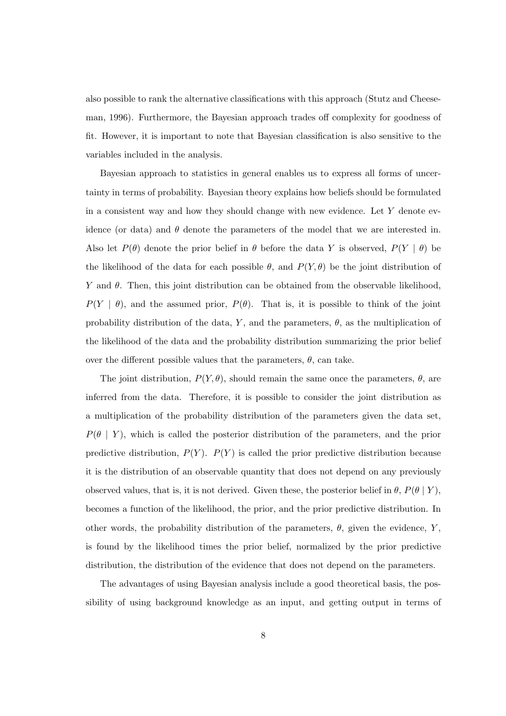also possible to rank the alternative classifications with this approach (Stutz and Cheeseman, 1996). Furthermore, the Bayesian approach trades off complexity for goodness of fit. However, it is important to note that Bayesian classification is also sensitive to the variables included in the analysis.

Bayesian approach to statistics in general enables us to express all forms of uncertainty in terms of probability. Bayesian theory explains how beliefs should be formulated in a consistent way and how they should change with new evidence. Let  $Y$  denote evidence (or data) and  $\theta$  denote the parameters of the model that we are interested in. Also let  $P(\theta)$  denote the prior belief in  $\theta$  before the data Y is observed,  $P(Y | \theta)$  be the likelihood of the data for each possible  $\theta$ , and  $P(Y, \theta)$  be the joint distribution of Y and  $\theta$ . Then, this joint distribution can be obtained from the observable likelihood,  $P(Y | \theta)$ , and the assumed prior,  $P(\theta)$ . That is, it is possible to think of the joint probability distribution of the data, Y, and the parameters,  $\theta$ , as the multiplication of the likelihood of the data and the probability distribution summarizing the prior belief over the different possible values that the parameters,  $\theta$ , can take.

The joint distribution,  $P(Y, \theta)$ , should remain the same once the parameters,  $\theta$ , are inferred from the data. Therefore, it is possible to consider the joint distribution as a multiplication of the probability distribution of the parameters given the data set,  $P(\theta | Y)$ , which is called the posterior distribution of the parameters, and the prior predictive distribution,  $P(Y)$ .  $P(Y)$  is called the prior predictive distribution because it is the distribution of an observable quantity that does not depend on any previously observed values, that is, it is not derived. Given these, the posterior belief in  $\theta$ ,  $P(\theta | Y)$ , becomes a function of the likelihood, the prior, and the prior predictive distribution. In other words, the probability distribution of the parameters,  $\theta$ , given the evidence, Y, is found by the likelihood times the prior belief, normalized by the prior predictive distribution, the distribution of the evidence that does not depend on the parameters.

The advantages of using Bayesian analysis include a good theoretical basis, the possibility of using background knowledge as an input, and getting output in terms of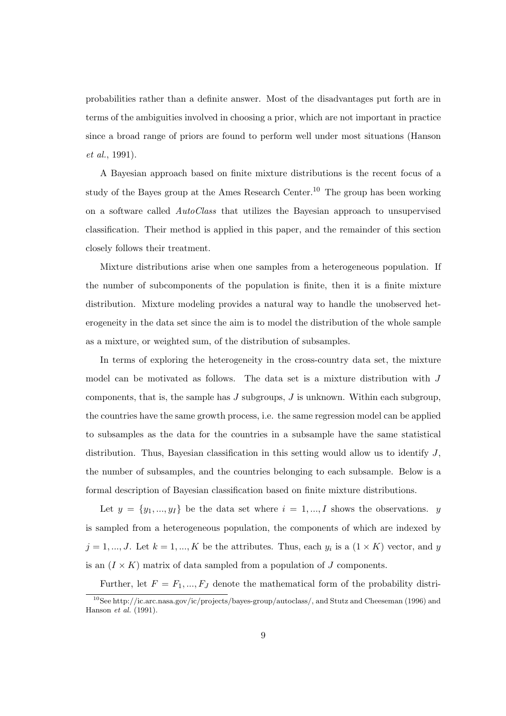probabilities rather than a definite answer. Most of the disadvantages put forth are in terms of the ambiguities involved in choosing a prior, which are not important in practice since a broad range of priors are found to perform well under most situations (Hanson et al., 1991).

A Bayesian approach based on finite mixture distributions is the recent focus of a study of the Bayes group at the Ames Research Center.<sup>10</sup> The group has been working on a software called AutoClass that utilizes the Bayesian approach to unsupervised classification. Their method is applied in this paper, and the remainder of this section closely follows their treatment.

Mixture distributions arise when one samples from a heterogeneous population. If the number of subcomponents of the population is finite, then it is a finite mixture distribution. Mixture modeling provides a natural way to handle the unobserved heterogeneity in the data set since the aim is to model the distribution of the whole sample as a mixture, or weighted sum, of the distribution of subsamples.

In terms of exploring the heterogeneity in the cross-country data set, the mixture model can be motivated as follows. The data set is a mixture distribution with J components, that is, the sample has  $J$  subgroups,  $J$  is unknown. Within each subgroup, the countries have the same growth process, i.e. the same regression model can be applied to subsamples as the data for the countries in a subsample have the same statistical distribution. Thus, Bayesian classification in this setting would allow us to identify  $J$ , the number of subsamples, and the countries belonging to each subsample. Below is a formal description of Bayesian classification based on finite mixture distributions.

Let  $y = \{y_1, ..., y_I\}$  be the data set where  $i = 1, ..., I$  shows the observations. y is sampled from a heterogeneous population, the components of which are indexed by  $j = 1, ..., J$ . Let  $k = 1, ..., K$  be the attributes. Thus, each  $y_i$  is a  $(1 \times K)$  vector, and y is an  $(I \times K)$  matrix of data sampled from a population of J components.

Further, let  $F = F_1, ..., F_J$  denote the mathematical form of the probability distri-

<sup>10</sup>See http://ic.arc.nasa.gov/ic/projects/bayes-group/autoclass/, and Stutz and Cheeseman (1996) and Hanson et al. (1991).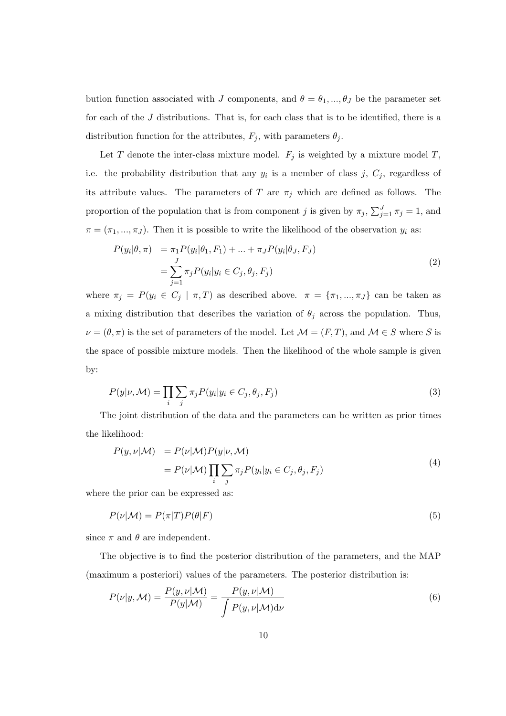bution function associated with J components, and  $\theta = \theta_1, ..., \theta_J$  be the parameter set for each of the J distributions. That is, for each class that is to be identified, there is a distribution function for the attributes,  $F_j$ , with parameters  $\theta_j$ .

Let T denote the inter-class mixture model.  $F_j$  is weighted by a mixture model T, i.e. the probability distribution that any  $y_i$  is a member of class j,  $C_j$ , regardless of its attribute values. The parameters of T are  $\pi_j$  which are defined as follows. The proportion of the population that is from component j is given by  $\pi_j$ ,  $\sum_{j=1}^J \pi_j = 1$ , and  $\pi = (\pi_1, ..., \pi_J)$ . Then it is possible to write the likelihood of the observation  $y_i$  as:

$$
P(y_i|\theta, \pi) = \pi_1 P(y_i|\theta_1, F_1) + \dots + \pi_J P(y_i|\theta_J, F_J)
$$
  
= 
$$
\sum_{j=1}^J \pi_j P(y_i|y_i \in C_j, \theta_j, F_j)
$$
 (2)

where  $\pi_j = P(y_i \in C_j \mid \pi, T)$  as described above.  $\pi = {\pi_1, ..., \pi_J}$  can be taken as a mixing distribution that describes the variation of  $\theta_j$  across the population. Thus,  $\nu = (\theta, \pi)$  is the set of parameters of the model. Let  $\mathcal{M} = (F, T)$ , and  $\mathcal{M} \in S$  where S is the space of possible mixture models. Then the likelihood of the whole sample is given by:

$$
P(y|\nu, \mathcal{M}) = \prod_{i} \sum_{j} \pi_j P(y_i | y_i \in C_j, \theta_j, F_j)
$$
\n(3)

The joint distribution of the data and the parameters can be written as prior times the likelihood:

$$
P(y, \nu | \mathcal{M}) = P(\nu | \mathcal{M}) P(y | \nu, \mathcal{M})
$$
  
= 
$$
P(\nu | \mathcal{M}) \prod_{i} \sum_{j} \pi_{j} P(y_{i} | y_{i} \in C_{j}, \theta_{j}, F_{j})
$$
 (4)

where the prior can be expressed as:

$$
P(\nu|\mathcal{M}) = P(\pi|T)P(\theta|F)
$$
\n(5)

since  $\pi$  and  $\theta$  are independent.

The objective is to find the posterior distribution of the parameters, and the MAP (maximum a posteriori) values of the parameters. The posterior distribution is:

$$
P(\nu|y, \mathcal{M}) = \frac{P(y, \nu|\mathcal{M})}{P(y|\mathcal{M})} = \frac{P(y, \nu|\mathcal{M})}{\int P(y, \nu|\mathcal{M}) d\nu}
$$
(6)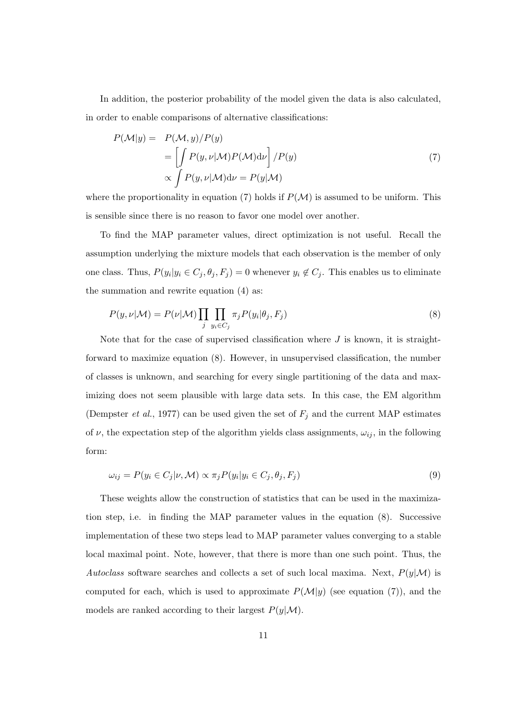In addition, the posterior probability of the model given the data is also calculated, in order to enable comparisons of alternative classifications:

$$
P(\mathcal{M}|y) = P(\mathcal{M}, y) / P(y)
$$
  
= 
$$
\left[ \int P(y, \nu | \mathcal{M}) P(\mathcal{M}) \mathrm{d}\nu \right] / P(y)
$$
  

$$
\propto \int P(y, \nu | \mathcal{M}) \mathrm{d}\nu = P(y | \mathcal{M})
$$
 (7)

where the proportionality in equation (7) holds if  $P(\mathcal{M})$  is assumed to be uniform. This is sensible since there is no reason to favor one model over another.

To find the MAP parameter values, direct optimization is not useful. Recall the assumption underlying the mixture models that each observation is the member of only one class. Thus,  $P(y_i|y_i \in C_j, \theta_j, F_j) = 0$  whenever  $y_i \notin C_j$ . This enables us to eliminate the summation and rewrite equation (4) as:

$$
P(y,\nu|\mathcal{M}) = P(\nu|\mathcal{M}) \prod_{j} \prod_{y_i \in C_j} \pi_j P(y_i|\theta_j, F_j)
$$
\n(8)

Note that for the case of supervised classification where  $J$  is known, it is straightforward to maximize equation (8). However, in unsupervised classification, the number of classes is unknown, and searching for every single partitioning of the data and maximizing does not seem plausible with large data sets. In this case, the EM algorithm (Dempster *et al.*, 1977) can be used given the set of  $F_i$  and the current MAP estimates of  $\nu$ , the expectation step of the algorithm yields class assignments,  $\omega_{ij}$ , in the following form:

$$
\omega_{ij} = P(y_i \in C_j | \nu, \mathcal{M}) \propto \pi_j P(y_i | y_i \in C_j, \theta_j, F_j)
$$
\n
$$
(9)
$$

These weights allow the construction of statistics that can be used in the maximization step, i.e. in finding the MAP parameter values in the equation (8). Successive implementation of these two steps lead to MAP parameter values converging to a stable local maximal point. Note, however, that there is more than one such point. Thus, the Autoclass software searches and collects a set of such local maxima. Next,  $P(y|\mathcal{M})$  is computed for each, which is used to approximate  $P(\mathcal{M}|y)$  (see equation (7)), and the models are ranked according to their largest  $P(y|\mathcal{M})$ .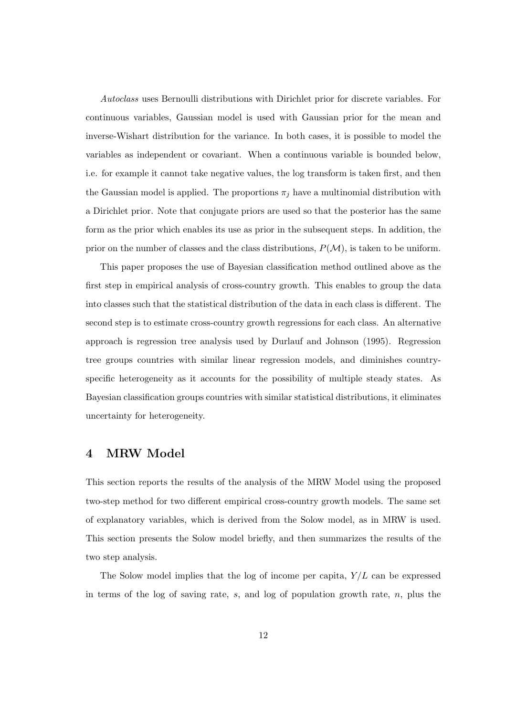Autoclass uses Bernoulli distributions with Dirichlet prior for discrete variables. For continuous variables, Gaussian model is used with Gaussian prior for the mean and inverse-Wishart distribution for the variance. In both cases, it is possible to model the variables as independent or covariant. When a continuous variable is bounded below, i.e. for example it cannot take negative values, the log transform is taken first, and then the Gaussian model is applied. The proportions  $\pi_j$  have a multinomial distribution with a Dirichlet prior. Note that conjugate priors are used so that the posterior has the same form as the prior which enables its use as prior in the subsequent steps. In addition, the prior on the number of classes and the class distributions,  $P(\mathcal{M})$ , is taken to be uniform.

This paper proposes the use of Bayesian classification method outlined above as the first step in empirical analysis of cross-country growth. This enables to group the data into classes such that the statistical distribution of the data in each class is different. The second step is to estimate cross-country growth regressions for each class. An alternative approach is regression tree analysis used by Durlauf and Johnson (1995). Regression tree groups countries with similar linear regression models, and diminishes countryspecific heterogeneity as it accounts for the possibility of multiple steady states. As Bayesian classification groups countries with similar statistical distributions, it eliminates uncertainty for heterogeneity.

# 4 MRW Model

This section reports the results of the analysis of the MRW Model using the proposed two-step method for two different empirical cross-country growth models. The same set of explanatory variables, which is derived from the Solow model, as in MRW is used. This section presents the Solow model briefly, and then summarizes the results of the two step analysis.

The Solow model implies that the log of income per capita,  $Y/L$  can be expressed in terms of the log of saving rate, s, and log of population growth rate,  $n$ , plus the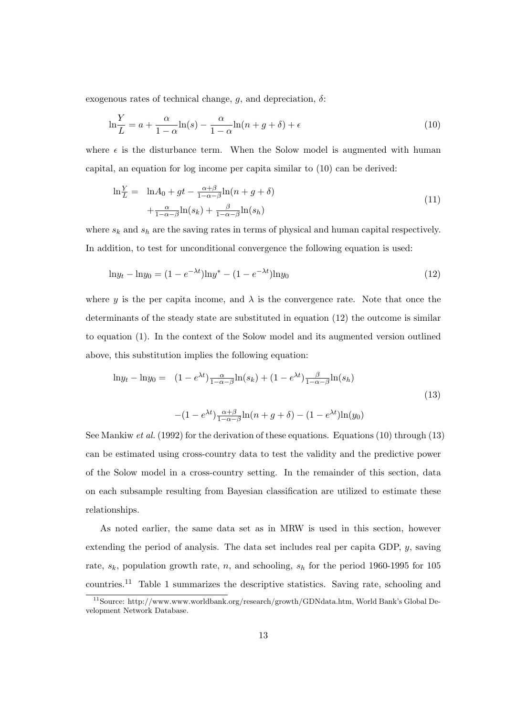exogenous rates of technical change,  $q$ , and depreciation,  $\delta$ :

$$
\ln\frac{Y}{L} = a + \frac{\alpha}{1-\alpha}\ln(s) - \frac{\alpha}{1-\alpha}\ln(n+g+\delta) + \epsilon
$$
\n(10)

where  $\epsilon$  is the disturbance term. When the Solow model is augmented with human capital, an equation for log income per capita similar to (10) can be derived:

$$
\ln \frac{Y}{L} = \ln A_0 + gt - \frac{\alpha + \beta}{1 - \alpha - \beta} \ln(n + g + \delta)
$$
  
 
$$
+ \frac{\alpha}{1 - \alpha - \beta} \ln(s_k) + \frac{\beta}{1 - \alpha - \beta} \ln(s_h)
$$
 (11)

where  $s_k$  and  $s_h$  are the saving rates in terms of physical and human capital respectively. In addition, to test for unconditional convergence the following equation is used:

$$
\ln y_t - \ln y_0 = (1 - e^{-\lambda t}) \ln y^* - (1 - e^{-\lambda t}) \ln y_0 \tag{12}
$$

where y is the per capita income, and  $\lambda$  is the convergence rate. Note that once the determinants of the steady state are substituted in equation (12) the outcome is similar to equation (1). In the context of the Solow model and its augmented version outlined above, this substitution implies the following equation:

$$
\ln y_t - \ln y_0 = (1 - e^{\lambda t}) \frac{\alpha}{1 - \alpha - \beta} \ln(s_k) + (1 - e^{\lambda t}) \frac{\beta}{1 - \alpha - \beta} \ln(s_h)
$$
  

$$
- (1 - e^{\lambda t}) \frac{\alpha + \beta}{1 - \alpha - \beta} \ln(n + g + \delta) - (1 - e^{\lambda t}) \ln(y_0)
$$
 (13)

See Mankiw *et al.* (1992) for the derivation of these equations. Equations (10) through (13) can be estimated using cross-country data to test the validity and the predictive power of the Solow model in a cross-country setting. In the remainder of this section, data on each subsample resulting from Bayesian classification are utilized to estimate these relationships.

As noted earlier, the same data set as in MRW is used in this section, however extending the period of analysis. The data set includes real per capita GDP,  $y$ , saving rate,  $s_k$ , population growth rate, n, and schooling,  $s_h$  for the period 1960-1995 for 105 countries.<sup>11</sup> Table 1 summarizes the descriptive statistics. Saving rate, schooling and

<sup>11</sup>Source: http://www.www.worldbank.org/research/growth/GDNdata.htm, World Bank's Global Development Network Database.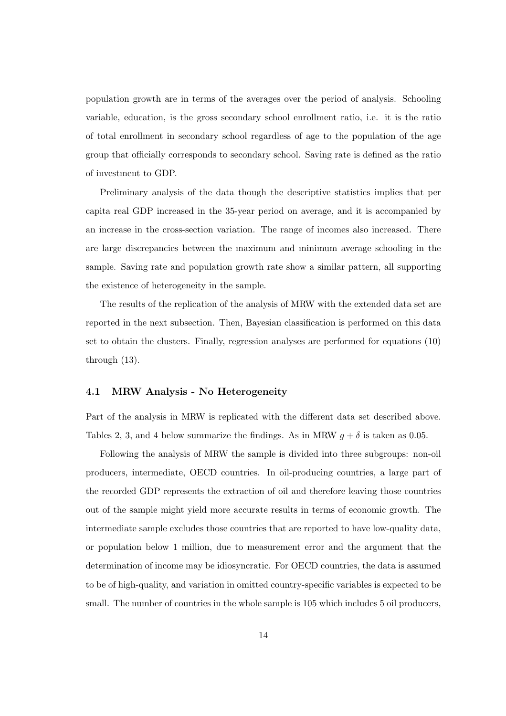population growth are in terms of the averages over the period of analysis. Schooling variable, education, is the gross secondary school enrollment ratio, i.e. it is the ratio of total enrollment in secondary school regardless of age to the population of the age group that officially corresponds to secondary school. Saving rate is defined as the ratio of investment to GDP.

Preliminary analysis of the data though the descriptive statistics implies that per capita real GDP increased in the 35-year period on average, and it is accompanied by an increase in the cross-section variation. The range of incomes also increased. There are large discrepancies between the maximum and minimum average schooling in the sample. Saving rate and population growth rate show a similar pattern, all supporting the existence of heterogeneity in the sample.

The results of the replication of the analysis of MRW with the extended data set are reported in the next subsection. Then, Bayesian classification is performed on this data set to obtain the clusters. Finally, regression analyses are performed for equations (10) through (13).

### 4.1 MRW Analysis - No Heterogeneity

Part of the analysis in MRW is replicated with the different data set described above. Tables 2, 3, and 4 below summarize the findings. As in MRW  $g + \delta$  is taken as 0.05.

Following the analysis of MRW the sample is divided into three subgroups: non-oil producers, intermediate, OECD countries. In oil-producing countries, a large part of the recorded GDP represents the extraction of oil and therefore leaving those countries out of the sample might yield more accurate results in terms of economic growth. The intermediate sample excludes those countries that are reported to have low-quality data, or population below 1 million, due to measurement error and the argument that the determination of income may be idiosyncratic. For OECD countries, the data is assumed to be of high-quality, and variation in omitted country-specific variables is expected to be small. The number of countries in the whole sample is 105 which includes 5 oil producers,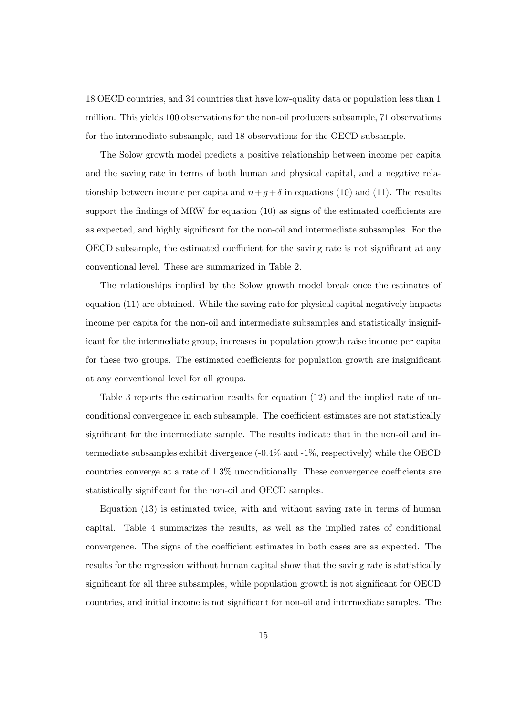18 OECD countries, and 34 countries that have low-quality data or population less than 1 million. This yields 100 observations for the non-oil producers subsample, 71 observations for the intermediate subsample, and 18 observations for the OECD subsample.

The Solow growth model predicts a positive relationship between income per capita and the saving rate in terms of both human and physical capital, and a negative relationship between income per capita and  $n+g+\delta$  in equations (10) and (11). The results support the findings of MRW for equation (10) as signs of the estimated coefficients are as expected, and highly significant for the non-oil and intermediate subsamples. For the OECD subsample, the estimated coefficient for the saving rate is not significant at any conventional level. These are summarized in Table 2.

The relationships implied by the Solow growth model break once the estimates of equation (11) are obtained. While the saving rate for physical capital negatively impacts income per capita for the non-oil and intermediate subsamples and statistically insignificant for the intermediate group, increases in population growth raise income per capita for these two groups. The estimated coefficients for population growth are insignificant at any conventional level for all groups.

Table 3 reports the estimation results for equation (12) and the implied rate of unconditional convergence in each subsample. The coefficient estimates are not statistically significant for the intermediate sample. The results indicate that in the non-oil and intermediate subsamples exhibit divergence (-0.4% and -1%, respectively) while the OECD countries converge at a rate of 1.3% unconditionally. These convergence coefficients are statistically significant for the non-oil and OECD samples.

Equation (13) is estimated twice, with and without saving rate in terms of human capital. Table 4 summarizes the results, as well as the implied rates of conditional convergence. The signs of the coefficient estimates in both cases are as expected. The results for the regression without human capital show that the saving rate is statistically significant for all three subsamples, while population growth is not significant for OECD countries, and initial income is not significant for non-oil and intermediate samples. The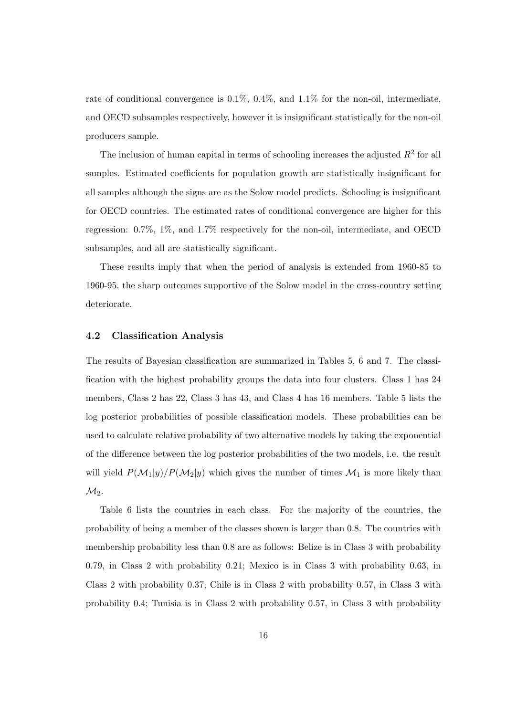rate of conditional convergence is 0.1%, 0.4%, and 1.1% for the non-oil, intermediate, and OECD subsamples respectively, however it is insignificant statistically for the non-oil producers sample.

The inclusion of human capital in terms of schooling increases the adjusted  $R^2$  for all samples. Estimated coefficients for population growth are statistically insignificant for all samples although the signs are as the Solow model predicts. Schooling is insignificant for OECD countries. The estimated rates of conditional convergence are higher for this regression: 0.7%, 1%, and 1.7% respectively for the non-oil, intermediate, and OECD subsamples, and all are statistically significant.

These results imply that when the period of analysis is extended from 1960-85 to 1960-95, the sharp outcomes supportive of the Solow model in the cross-country setting deteriorate.

#### 4.2 Classification Analysis

The results of Bayesian classification are summarized in Tables 5, 6 and 7. The classification with the highest probability groups the data into four clusters. Class 1 has 24 members, Class 2 has 22, Class 3 has 43, and Class 4 has 16 members. Table 5 lists the log posterior probabilities of possible classification models. These probabilities can be used to calculate relative probability of two alternative models by taking the exponential of the difference between the log posterior probabilities of the two models, i.e. the result will yield  $P(\mathcal{M}_1|y)/P(\mathcal{M}_2|y)$  which gives the number of times  $\mathcal{M}_1$  is more likely than  $M_2$ .

Table 6 lists the countries in each class. For the majority of the countries, the probability of being a member of the classes shown is larger than 0.8. The countries with membership probability less than 0.8 are as follows: Belize is in Class 3 with probability 0.79, in Class 2 with probability 0.21; Mexico is in Class 3 with probability 0.63, in Class 2 with probability 0.37; Chile is in Class 2 with probability 0.57, in Class 3 with probability 0.4; Tunisia is in Class 2 with probability 0.57, in Class 3 with probability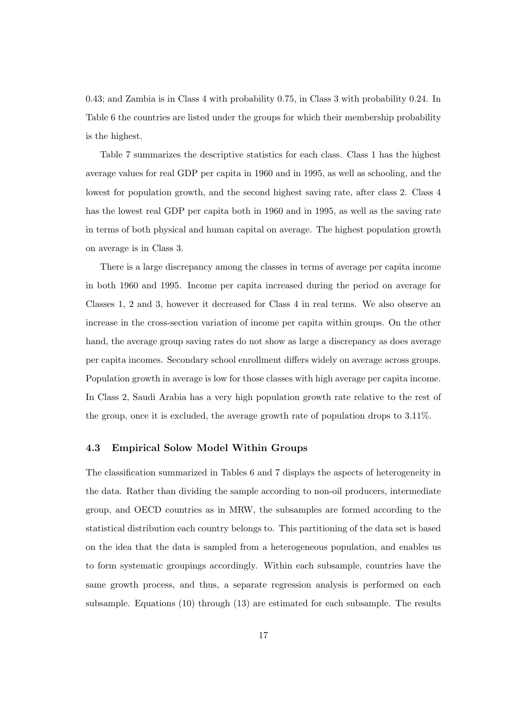0.43; and Zambia is in Class 4 with probability 0.75, in Class 3 with probability 0.24. In Table 6 the countries are listed under the groups for which their membership probability is the highest.

Table 7 summarizes the descriptive statistics for each class. Class 1 has the highest average values for real GDP per capita in 1960 and in 1995, as well as schooling, and the lowest for population growth, and the second highest saving rate, after class 2. Class 4 has the lowest real GDP per capita both in 1960 and in 1995, as well as the saving rate in terms of both physical and human capital on average. The highest population growth on average is in Class 3.

There is a large discrepancy among the classes in terms of average per capita income in both 1960 and 1995. Income per capita increased during the period on average for Classes 1, 2 and 3, however it decreased for Class 4 in real terms. We also observe an increase in the cross-section variation of income per capita within groups. On the other hand, the average group saving rates do not show as large a discrepancy as does average per capita incomes. Secondary school enrollment differs widely on average across groups. Population growth in average is low for those classes with high average per capita income. In Class 2, Saudi Arabia has a very high population growth rate relative to the rest of the group, once it is excluded, the average growth rate of population drops to 3.11%.

### 4.3 Empirical Solow Model Within Groups

The classification summarized in Tables 6 and 7 displays the aspects of heterogeneity in the data. Rather than dividing the sample according to non-oil producers, intermediate group, and OECD countries as in MRW, the subsamples are formed according to the statistical distribution each country belongs to. This partitioning of the data set is based on the idea that the data is sampled from a heterogeneous population, and enables us to form systematic groupings accordingly. Within each subsample, countries have the same growth process, and thus, a separate regression analysis is performed on each subsample. Equations (10) through (13) are estimated for each subsample. The results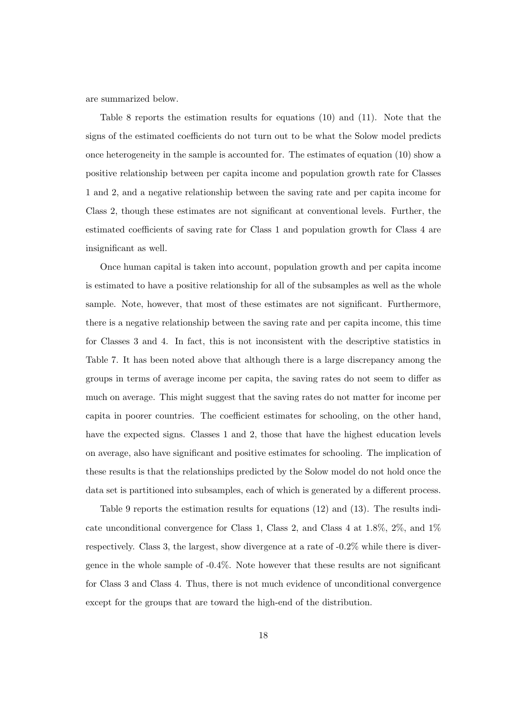are summarized below.

Table 8 reports the estimation results for equations (10) and (11). Note that the signs of the estimated coefficients do not turn out to be what the Solow model predicts once heterogeneity in the sample is accounted for. The estimates of equation (10) show a positive relationship between per capita income and population growth rate for Classes 1 and 2, and a negative relationship between the saving rate and per capita income for Class 2, though these estimates are not significant at conventional levels. Further, the estimated coefficients of saving rate for Class 1 and population growth for Class 4 are insignificant as well.

Once human capital is taken into account, population growth and per capita income is estimated to have a positive relationship for all of the subsamples as well as the whole sample. Note, however, that most of these estimates are not significant. Furthermore, there is a negative relationship between the saving rate and per capita income, this time for Classes 3 and 4. In fact, this is not inconsistent with the descriptive statistics in Table 7. It has been noted above that although there is a large discrepancy among the groups in terms of average income per capita, the saving rates do not seem to differ as much on average. This might suggest that the saving rates do not matter for income per capita in poorer countries. The coefficient estimates for schooling, on the other hand, have the expected signs. Classes 1 and 2, those that have the highest education levels on average, also have significant and positive estimates for schooling. The implication of these results is that the relationships predicted by the Solow model do not hold once the data set is partitioned into subsamples, each of which is generated by a different process.

Table 9 reports the estimation results for equations (12) and (13). The results indicate unconditional convergence for Class 1, Class 2, and Class 4 at 1.8%, 2%, and 1% respectively. Class 3, the largest, show divergence at a rate of -0.2% while there is divergence in the whole sample of -0.4%. Note however that these results are not significant for Class 3 and Class 4. Thus, there is not much evidence of unconditional convergence except for the groups that are toward the high-end of the distribution.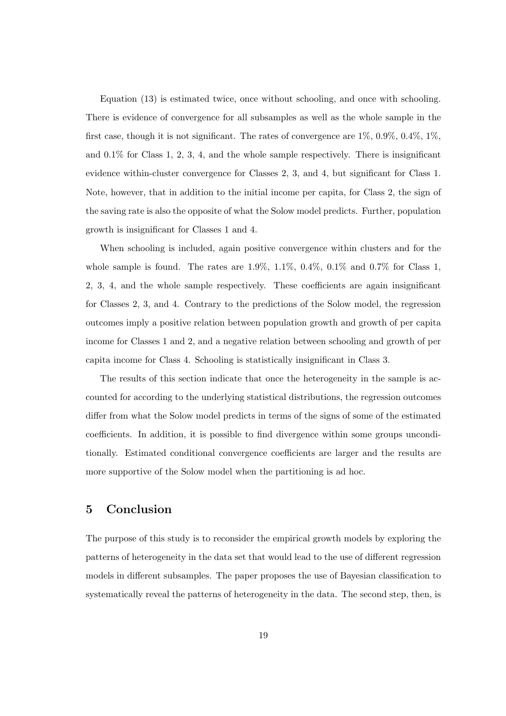Equation (13) is estimated twice, once without schooling, and once with schooling. There is evidence of convergence for all subsamples as well as the whole sample in the first case, though it is not significant. The rates of convergence are 1%, 0.9%, 0.4%, 1%, and  $0.1\%$  for Class 1, 2, 3, 4, and the whole sample respectively. There is insignificant evidence within-cluster convergence for Classes 2, 3, and 4, but significant for Class 1. Note, however, that in addition to the initial income per capita, for Class 2, the sign of the saving rate is also the opposite of what the Solow model predicts. Further, population growth is insignificant for Classes 1 and 4.

When schooling is included, again positive convergence within clusters and for the whole sample is found. The rates are  $1.9\%, 1.1\%, 0.4\%, 0.1\%$  and  $0.7\%$  for Class 1, 2, 3, 4, and the whole sample respectively. These coefficients are again insignificant for Classes 2, 3, and 4. Contrary to the predictions of the Solow model, the regression outcomes imply a positive relation between population growth and growth of per capita income for Classes 1 and 2, and a negative relation between schooling and growth of per capita income for Class 4. Schooling is statistically insignificant in Class 3.

The results of this section indicate that once the heterogeneity in the sample is accounted for according to the underlying statistical distributions, the regression outcomes differ from what the Solow model predicts in terms of the signs of some of the estimated coefficients. In addition, it is possible to find divergence within some groups unconditionally. Estimated conditional convergence coefficients are larger and the results are more supportive of the Solow model when the partitioning is ad hoc.

# 5 Conclusion

The purpose of this study is to reconsider the empirical growth models by exploring the patterns of heterogeneity in the data set that would lead to the use of different regression models in different subsamples. The paper proposes the use of Bayesian classification to systematically reveal the patterns of heterogeneity in the data. The second step, then, is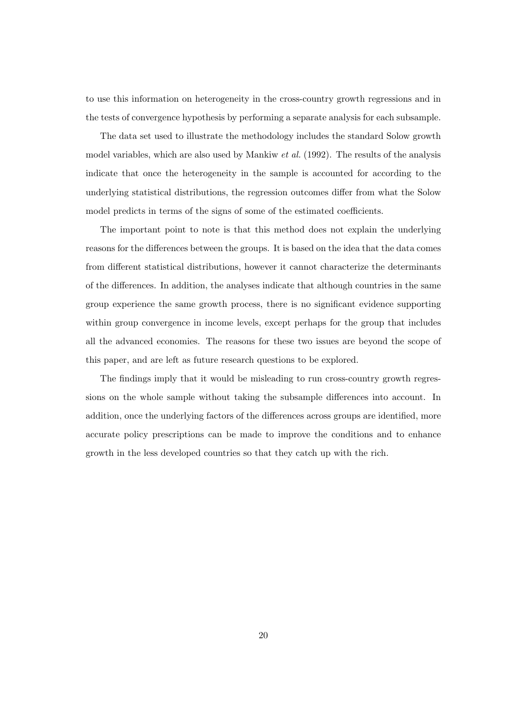to use this information on heterogeneity in the cross-country growth regressions and in the tests of convergence hypothesis by performing a separate analysis for each subsample.

The data set used to illustrate the methodology includes the standard Solow growth model variables, which are also used by Mankiw *et al.* (1992). The results of the analysis indicate that once the heterogeneity in the sample is accounted for according to the underlying statistical distributions, the regression outcomes differ from what the Solow model predicts in terms of the signs of some of the estimated coefficients.

The important point to note is that this method does not explain the underlying reasons for the differences between the groups. It is based on the idea that the data comes from different statistical distributions, however it cannot characterize the determinants of the differences. In addition, the analyses indicate that although countries in the same group experience the same growth process, there is no significant evidence supporting within group convergence in income levels, except perhaps for the group that includes all the advanced economies. The reasons for these two issues are beyond the scope of this paper, and are left as future research questions to be explored.

The findings imply that it would be misleading to run cross-country growth regressions on the whole sample without taking the subsample differences into account. In addition, once the underlying factors of the differences across groups are identified, more accurate policy prescriptions can be made to improve the conditions and to enhance growth in the less developed countries so that they catch up with the rich.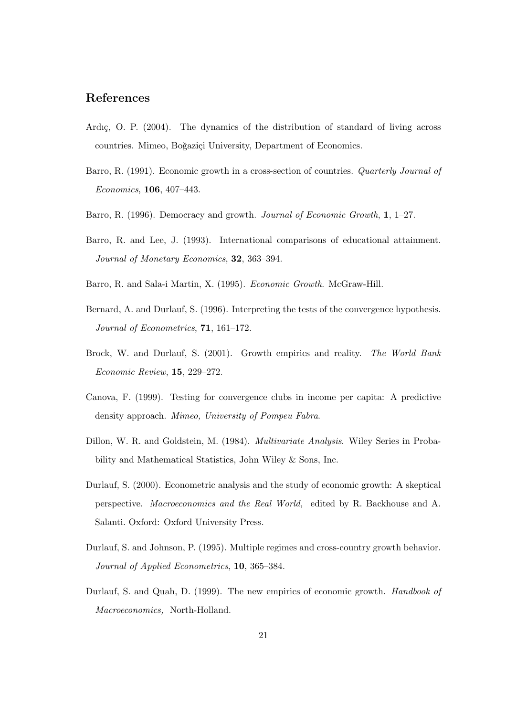### References

- Ardıç, O. P. (2004). The dynamics of the distribution of standard of living across countries. Mimeo, Boğaziçi University, Department of Economics.
- Barro, R. (1991). Economic growth in a cross-section of countries. Quarterly Journal of Economics, 106, 407–443.
- Barro, R. (1996). Democracy and growth. Journal of Economic Growth, 1, 1–27.
- Barro, R. and Lee, J. (1993). International comparisons of educational attainment. Journal of Monetary Economics, 32, 363–394.
- Barro, R. and Sala-i Martin, X. (1995). Economic Growth. McGraw-Hill.
- Bernard, A. and Durlauf, S. (1996). Interpreting the tests of the convergence hypothesis. Journal of Econometrics, 71, 161–172.
- Brock, W. and Durlauf, S. (2001). Growth empirics and reality. The World Bank Economic Review, 15, 229–272.
- Canova, F. (1999). Testing for convergence clubs in income per capita: A predictive density approach. Mimeo, University of Pompeu Fabra.
- Dillon, W. R. and Goldstein, M. (1984). Multivariate Analysis. Wiley Series in Probability and Mathematical Statistics, John Wiley & Sons, Inc.
- Durlauf, S. (2000). Econometric analysis and the study of economic growth: A skeptical perspective. Macroeconomics and the Real World, edited by R. Backhouse and A. Salanti. Oxford: Oxford University Press.
- Durlauf, S. and Johnson, P. (1995). Multiple regimes and cross-country growth behavior. Journal of Applied Econometrics, 10, 365–384.
- Durlauf, S. and Quah, D. (1999). The new empirics of economic growth. *Handbook of* Macroeconomics, North-Holland.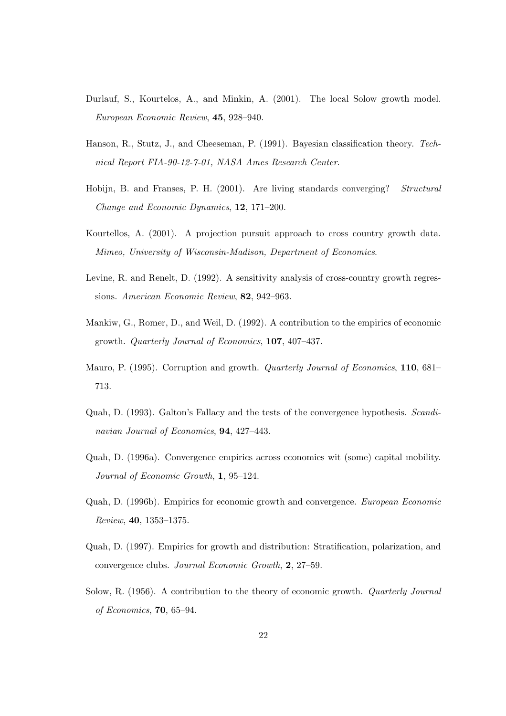- Durlauf, S., Kourtelos, A., and Minkin, A. (2001). The local Solow growth model. European Economic Review, 45, 928–940.
- Hanson, R., Stutz, J., and Cheeseman, P. (1991). Bayesian classification theory. Technical Report FIA-90-12-7-01, NASA Ames Research Center.
- Hobijn, B. and Franses, P. H. (2001). Are living standards converging? Structural Change and Economic Dynamics, 12, 171–200.
- Kourtellos, A. (2001). A projection pursuit approach to cross country growth data. Mimeo, University of Wisconsin-Madison, Department of Economics.
- Levine, R. and Renelt, D. (1992). A sensitivity analysis of cross-country growth regressions. American Economic Review, 82, 942–963.
- Mankiw, G., Romer, D., and Weil, D. (1992). A contribution to the empirics of economic growth. Quarterly Journal of Economics, 107, 407–437.
- Mauro, P. (1995). Corruption and growth. *Quarterly Journal of Economics*, **110**, 681– 713.
- Quah, D. (1993). Galton's Fallacy and the tests of the convergence hypothesis. Scandinavian Journal of Economics, 94, 427–443.
- Quah, D. (1996a). Convergence empirics across economies wit (some) capital mobility. Journal of Economic Growth, 1, 95–124.
- Quah, D. (1996b). Empirics for economic growth and convergence. European Economic Review, 40, 1353–1375.
- Quah, D. (1997). Empirics for growth and distribution: Stratification, polarization, and convergence clubs. Journal Economic Growth, 2, 27–59.
- Solow, R. (1956). A contribution to the theory of economic growth. Quarterly Journal of Economics, 70, 65–94.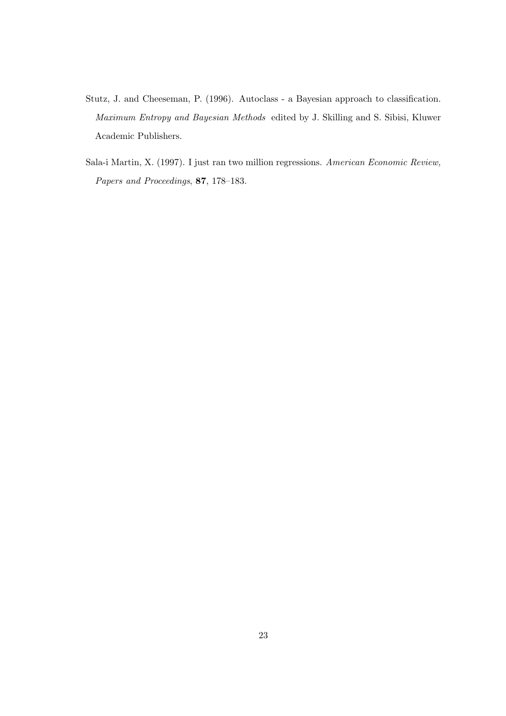- Stutz, J. and Cheeseman, P. (1996). Autoclass a Bayesian approach to classification. Maximum Entropy and Bayesian Methods edited by J. Skilling and S. Sibisi, Kluwer Academic Publishers.
- Sala-i Martin, X. (1997). I just ran two million regressions. American Economic Review, Papers and Proceedings, 87, 178–183.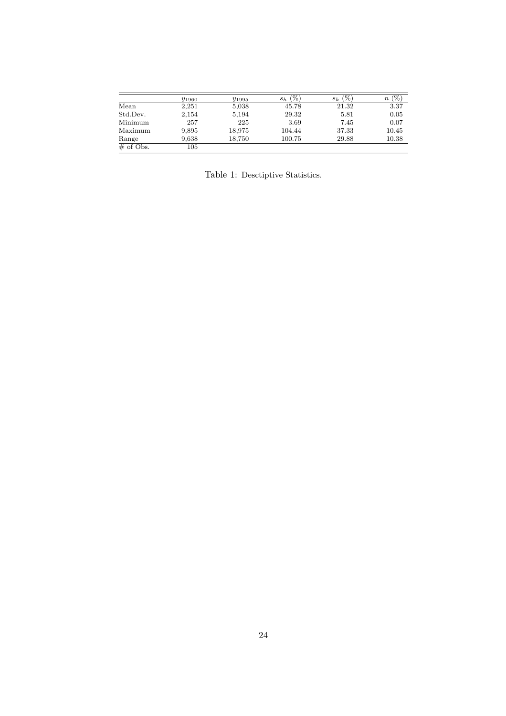|              | <b><i>y</i></b> 1960 | <i>y</i> <sub>1995</sub> | '%)<br>$s_h$ | $(\%)$<br>$s_k$ | '%<br>$\, n$ |
|--------------|----------------------|--------------------------|--------------|-----------------|--------------|
| Mean         | 2,251                | 5,038                    | 45.78        | 21.32           | 3.37         |
| Std.Dev.     | 2,154                | 5,194                    | 29.32        | 5.81            | 0.05         |
| Minimum      | 257                  | 225                      | 3.69         | 7.45            | 0.07         |
| Maximum      | 9,895                | 18,975                   | 104.44       | 37.33           | 10.45        |
| Range        | 9,638                | 18,750                   | 100.75       | 29.88           | 10.38        |
| $\#$ of Obs. | 105                  |                          |              |                 |              |

Table 1: Desctiptive Statistics.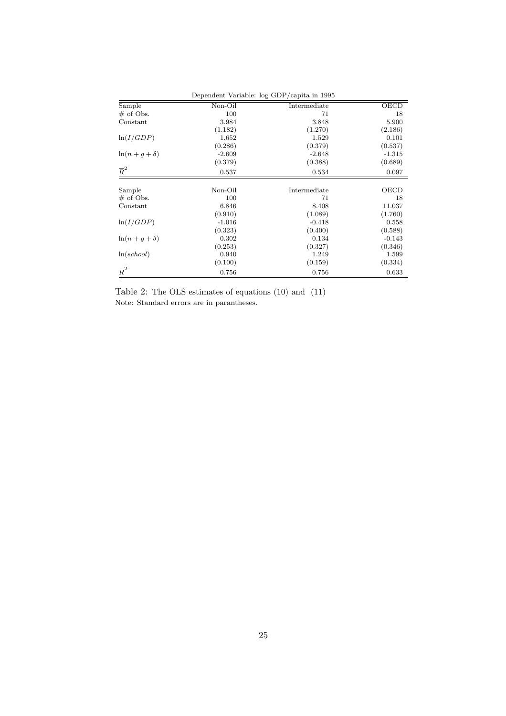| Dependent Variable: log GDP/capita in 1995 |          |              |          |  |  |
|--------------------------------------------|----------|--------------|----------|--|--|
| Sample                                     | Non-Oil  | Intermediate | OECD     |  |  |
| $\#$ of Obs.                               | 100      | 71           | 18       |  |  |
| Constant                                   | 3.984    | 3.848        | 5.900    |  |  |
|                                            | (1.182)  | (1.270)      | (2.186)  |  |  |
| ln(I/GDP)                                  | 1.652    | 1.529        | 0.101    |  |  |
|                                            | (0.286)  | (0.379)      | (0.537)  |  |  |
| $\ln(n+q+\delta)$                          | $-2.609$ | $-2.648$     | $-1.315$ |  |  |
|                                            | (0.379)  | (0.388)      | (0.689)  |  |  |
| $\overline{R}^2$                           | 0.537    | 0.534        | 0.097    |  |  |
|                                            |          |              |          |  |  |
| Sample                                     | Non-Oil  | Intermediate | OECD     |  |  |
| $\#$ of Obs.                               | 100      | 71           | 18       |  |  |
| Constant                                   | 6.846    | 8.408        | 11.037   |  |  |
|                                            | (0.910)  | (1.089)      | (1.760)  |  |  |
| ln(I/GDP)                                  | $-1.016$ | $-0.418$     | 0.558    |  |  |
|                                            | (0.323)  | (0.400)      | (0.588)  |  |  |
| $\ln(n+q+\delta)$                          | 0.302    | 0.134        | $-0.143$ |  |  |
|                                            | (0.253)  | (0.327)      | (0.346)  |  |  |
| ln(school)                                 | 0.940    | 1.249        | 1.599    |  |  |
|                                            | (0.100)  | (0.159)      | (0.334)  |  |  |
| $\overline{R}^2$                           | 0.756    | 0.756        | 0.633    |  |  |

Table 2: The OLS estimates of equations (10) and (11) Note: Standard errors are in parantheses.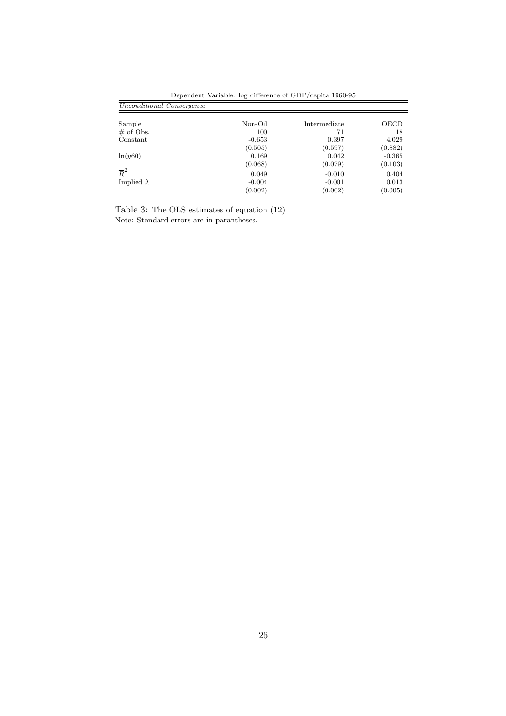| Unconditional Convergence |          |              |          |
|---------------------------|----------|--------------|----------|
|                           |          |              |          |
| Sample                    | Non-Oil  | Intermediate | OECD     |
| $#$ of Obs.               | 100      | 71           | 18       |
| Constant                  | $-0.653$ | 0.397        | 4.029    |
|                           | (0.505)  | (0.597)      | (0.882)  |
| ln(y60)                   | 0.169    | 0.042        | $-0.365$ |
|                           | (0.068)  | (0.079)      | (0.103)  |
| $\overline{R}^2$          | 0.049    | $-0.010$     | 0.404    |
| Implied $\lambda$         | $-0.004$ | $-0.001$     | 0.013    |
|                           | (0.002)  | (0.002)      | (0.005)  |

Dependent Variable: log difference of GDP/capita 1960-95

Table 3: The OLS estimates of equation (12) Note: Standard errors are in parantheses.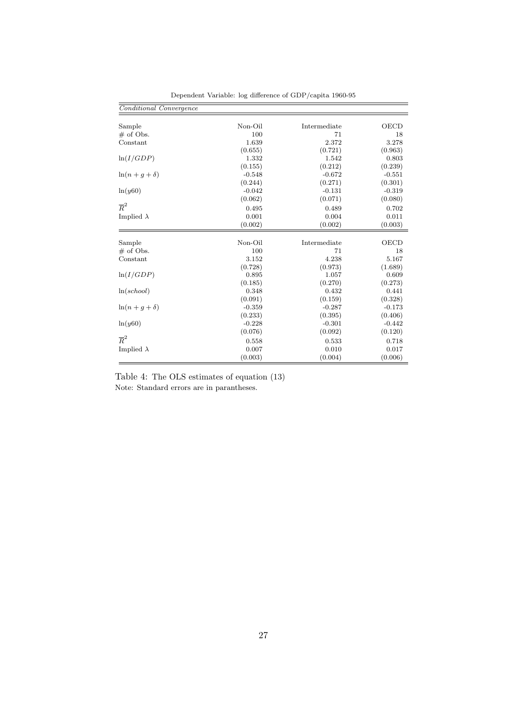| Conditional Convergence |          |              |             |
|-------------------------|----------|--------------|-------------|
| Sample                  | Non-Oil  | Intermediate | OECD        |
| $\#$ of Obs.            | 100      | 71           | 18          |
| Constant                | 1.639    | 2.372        | 3.278       |
|                         | (0.655)  | (0.721)      | (0.963)     |
| ln(I/GDP)               | 1.332    | 1.542        | 0.803       |
|                         | (0.155)  | (0.212)      | (0.239)     |
| $\ln(n+q+\delta)$       | $-0.548$ | $-0.672$     | $-0.551$    |
|                         | (0.244)  | (0.271)      | (0.301)     |
| ln(y60)                 | $-0.042$ | $-0.131$     | $-0.319$    |
|                         | (0.062)  | (0.071)      | (0.080)     |
| $\overline{R}^2$        | 0.495    | 0.489        | 0.702       |
| Implied $\lambda$       | 0.001    | 0.004        | 0.011       |
|                         | (0.002)  | (0.002)      | (0.003)     |
| Sample                  | Non-Oil  | Intermediate | <b>OECD</b> |
| $#$ of Obs.             | 100      | 71           | 18          |
| Constant                | 3.152    | 4.238        | 5.167       |
|                         | (0.728)  | (0.973)      | (1.689)     |
| ln(I/GDP)               | 0.895    | 1.057        | 0.609       |
|                         | (0.185)  | (0.270)      | (0.273)     |
| ln(school)              | 0.348    | 0.432        | 0.441       |
|                         | (0.091)  | (0.159)      | (0.328)     |
| $\ln(n+q+\delta)$       | $-0.359$ | $-0.287$     | $-0.173$    |
|                         | (0.233)  | (0.395)      | (0.406)     |
| ln(y60)                 | $-0.228$ | $-0.301$     | $-0.442$    |
|                         | (0.076)  | (0.092)      | (0.120)     |
| $\overline{R}^2$        | 0.558    | 0.533        | 0.718       |
| Implied $\lambda$       | 0.007    | 0.010        | 0.017       |
|                         | (0.003)  | (0.004)      | (0.006)     |

Dependent Variable: log difference of GDP/capita 1960-95

Table 4: The OLS estimates of equation (13) Note: Standard errors are in parantheses.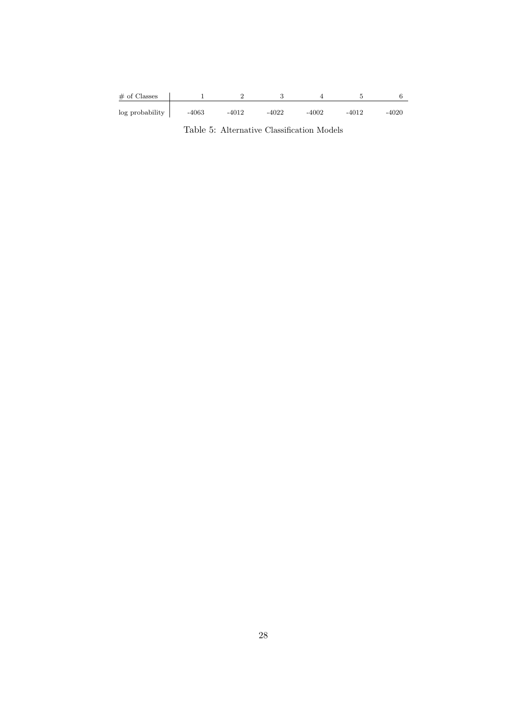| $\#$ of Classes |         |         |         |       |         |         |
|-----------------|---------|---------|---------|-------|---------|---------|
| log probability | $-4063$ | $-4012$ | $-4022$ | -4002 | $-4012$ | $-4020$ |

Table 5: Alternative Classification Models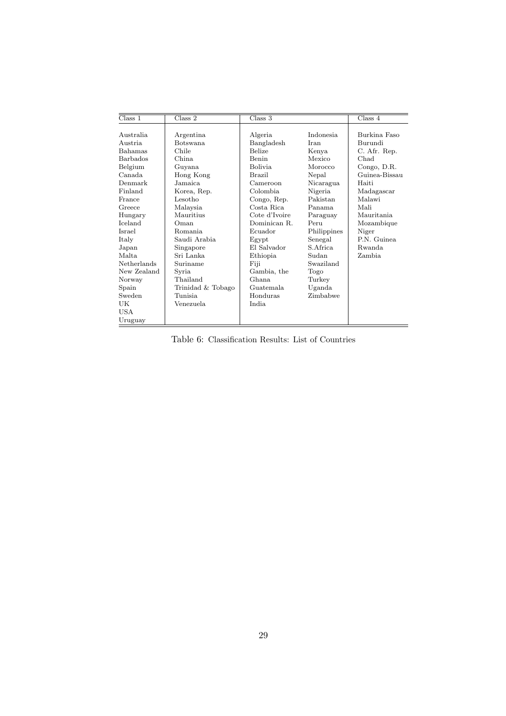| Class 1         | Class 2           | Class 3        |             |               |
|-----------------|-------------------|----------------|-------------|---------------|
|                 |                   |                |             | Class 4       |
| Australia       | Argentina         | Algeria        | Indonesia.  | Burkina Faso  |
| Austria.        | <b>Botswana</b>   | Bangladesh     | Iran        | Burundi       |
| <b>Bahamas</b>  | Chile             | <b>Belize</b>  | Kenya       | C. Afr. Rep.  |
| <b>Barbados</b> | China.            | Benin          | Mexico      | Chad          |
| Belgium         | Guyana            | <b>Bolivia</b> | Morocco     | Congo, D.R.   |
| Canada          | Hong Kong         | <b>Brazil</b>  | Nepal       | Guinea-Bissau |
| Denmark         | Jamaica.          | Cameroon       | Nicaragua   | Haiti         |
| Finland         | Korea, Rep.       | Colombia.      | Nigeria     | Madagascar    |
| France          | Lesotho           | Congo, Rep.    | Pakistan    | Malawi        |
| Greece          | Malaysia          | Costa Rica     | Panama      | Mali          |
| Hungary         | Mauritius         | Cote d'Ivoire  | Paraguay    | Mauritania    |
| <b>Iceland</b>  | Oman              | Dominican R.   | Peru        | Mozambique    |
| Israel          | Romania.          | Ecuador        | Philippines | Niger         |
| Italy           | Saudi Arabia      | Egypt          | Senegal     | P.N. Guinea   |
| Japan           | Singapore         | El Salvador    | S. Africa   | Rwanda        |
| Malta.          | Sri Lanka         | Ethiopia       | Sudan       | Zambia        |
| Netherlands     | Suriname          | Fiji           | Swaziland   |               |
| New Zealand     | Syria             | Gambia, the    | Togo        |               |
| Norway          | Thailand          | Ghana          | Turkey      |               |
| Spain           | Trinidad & Tobago | Guatemala      | Uganda      |               |
| Sweden          | Tunisia.          | Honduras       | Zimbabwe    |               |
| UK              | Venezuela         | India          |             |               |
| USA             |                   |                |             |               |
| Uruguay         |                   |                |             |               |

Table 6: Classification Results: List of Countries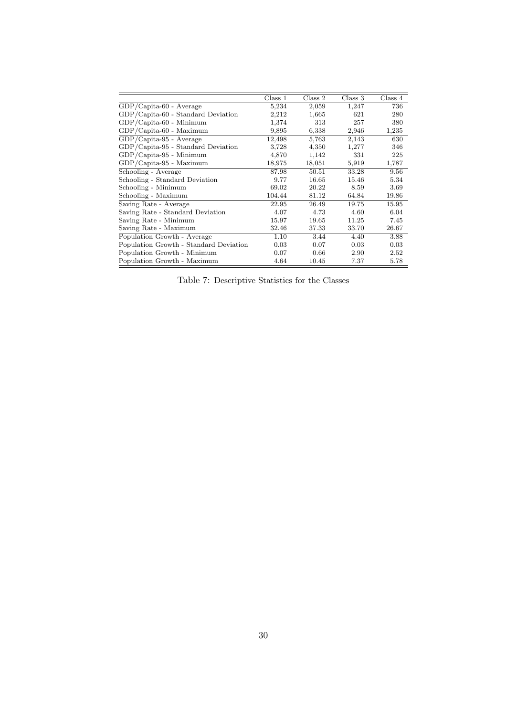|                                        | Class 1 | Class 2 | Class 3 | Class 4 |
|----------------------------------------|---------|---------|---------|---------|
| $GDP/Capita-60$ - Average              | 5,234   | 2,059   | 1,247   | 736     |
| GDP/Capita-60 - Standard Deviation     | 2,212   | 1,665   | 621     | 280     |
| $GDP/Capita-60$ - Minimum              | 1,374   | 313     | 257     | 380     |
| $GDP/Capita-60$ - Maximum              | 9,895   | 6,338   | 2,946   | 1,235   |
| $GDP/Capita-95$ - Average              | 12,498  | 5,763   | 2,143   | 630     |
| GDP/Capita-95 - Standard Deviation     | 3,728   | 4,350   | 1,277   | 346     |
| GDP/Capita-95 - Minimum                | 4,870   | 1,142   | 331     | 225     |
| $GDP/Capita-95$ - Maximum              | 18,975  | 18,051  | 5,919   | 1,787   |
| Schooling - Average                    | 87.98   | 50.51   | 33.28   | 9.56    |
| Schooling - Standard Deviation         | 9.77    | 16.65   | 15.46   | 5.34    |
| Schooling - Minimum                    | 69.02   | 20.22   | 8.59    | 3.69    |
| Schooling - Maximum                    | 104.44  | 81.12   | 64.84   | 19.86   |
| Saving Rate - Average                  | 22.95   | 26.49   | 19.75   | 15.95   |
| Saving Rate - Standard Deviation       | 4.07    | 4.73    | 4.60    | 6.04    |
| Saving Rate - Minimum                  | 15.97   | 19.65   | 11.25   | 7.45    |
| Saving Rate - Maximum                  | 32.46   | 37.33   | 33.70   | 26.67   |
| Population Growth - Average            | 1.10    | 3.44    | 4.40    | 3.88    |
| Population Growth - Standard Deviation | 0.03    | 0.07    | 0.03    | 0.03    |
| Population Growth - Minimum            | 0.07    | 0.66    | 2.90    | 2.52    |
| Population Growth - Maximum            | 4.64    | 10.45   | 7.37    | 5.78    |

Table 7: Descriptive Statistics for the Classes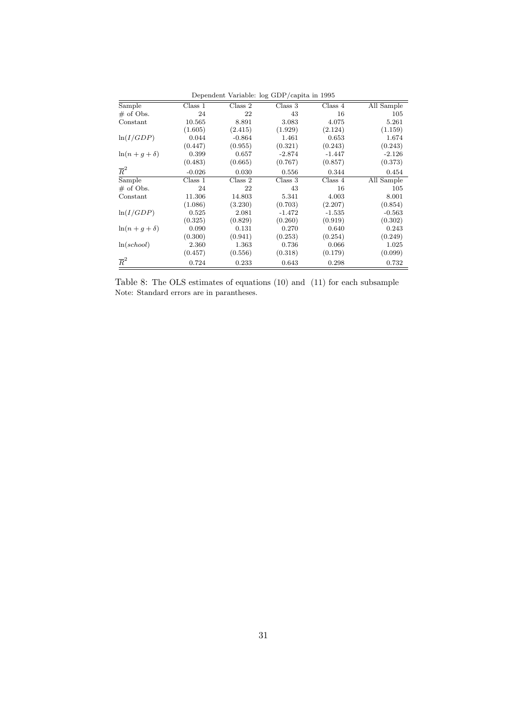|                   |          |          | Dependent variable: log GDF/capita in 1995 |                             |            |
|-------------------|----------|----------|--------------------------------------------|-----------------------------|------------|
| Sample            | Class 1  | Class 2  | Class 3                                    | $\overline{\text{Class}}$ 4 | All Sample |
| $\#$ of Obs.      | 24       | 22       | 43                                         | 16                          | 105        |
| Constant          | 10.565   | 8.891    | 3.083                                      | 4.075                       | 5.261      |
|                   | (1.605)  | (2.415)  | (1.929)                                    | (2.124)                     | (1.159)    |
| ln(I/GDP)         | 0.044    | $-0.864$ | 1.461                                      | 0.653                       | 1.674      |
|                   | (0.447)  | (0.955)  | (0.321)                                    | (0.243)                     | (0.243)    |
| $\ln(n+q+\delta)$ | 0.399    | 0.657    | $-2.874$                                   | $-1.447$                    | $-2.126$   |
|                   | (0.483)  | (0.665)  | (0.767)                                    | (0.857)                     | (0.373)    |
| $\overline{R}^2$  | $-0.026$ | 0.030    | 0.556                                      | 0.344                       | 0.454      |
| Sample            | Class 1  | Class 2  | Class 3                                    | Class 4                     | All Sample |
| $\#$ of Obs.      | 24       | 22       | 43                                         | 16                          | 105        |
| Constant          | 11.306   | 14.803   | 5.341                                      | 4.003                       | 8.001      |
|                   | (1.086)  | (3.230)  | (0.703)                                    | (2.207)                     | (0.854)    |
| ln(I/GDP)         | 0.525    | 2.081    | $-1.472$                                   | $-1.535$                    | $-0.563$   |
|                   | (0.325)  | (0.829)  | (0.260)                                    | (0.919)                     | (0.302)    |
| $\ln(n+g+\delta)$ | 0.090    | 0.131    | 0.270                                      | 0.640                       | 0.243      |
|                   | (0.300)  | (0.941)  | (0.253)                                    | (0.254)                     | (0.249)    |
| ln(school)        | 2.360    | 1.363    | 0.736                                      | 0.066                       | 1.025      |
|                   | (0.457)  | (0.556)  | (0.318)                                    | (0.179)                     | (0.099)    |
| $\overline{R}^2$  | 0.724    | 0.233    | 0.643                                      | 0.298                       | 0.732      |

Dependent Variable: log GDP/capita in 1995

Table 8: The OLS estimates of equations (10) and (11) for each subsample Note: Standard errors are in parantheses.